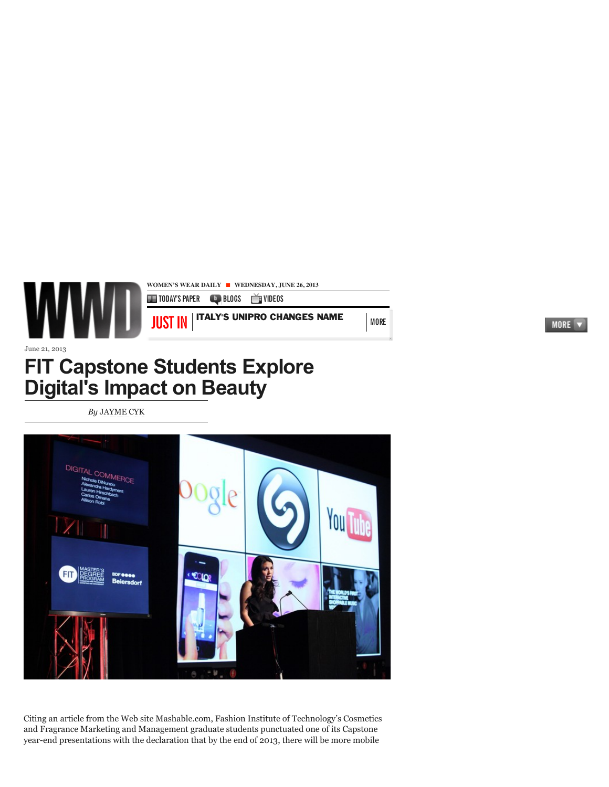

June 21, 2013

## **FIT Capstone Students Explore Digital'[s Impa](http://www.wwd.com/wwd-masthead/jayme-cyk-6023520)ct on Beauty**

*[By](https://twitter.com/intent/tweet?original_referer=http%3A%2F%2Fwww.wwd.com%2Fbeauty-industry-news%2Fmarketing-trends%2Ffit-capstone-students-explore-digitals-impact-on-beauty-7005444&text=FIT%20Capstone%20Students%20Explore%20Digital)* J[AYM](http://twitter.com/search?q=http%3A%2F%2Fwww.wwd.com%2Fbeauty-industry-news%2Fmarketing-trends%2Ffit-capstone-students-explore-digitals-impact-on-beauty-7005444%3Fsrc%3Dtwitter%2Fshare)E CYK



Citing an article from the Web site Mashable.com, Fashion Institute of Technology's Cosmetics and Fragrance Marketing and Management graduate students punctuated one of its Capstone year-end presentations with the declaration that by the end of 2013, there will be more mobile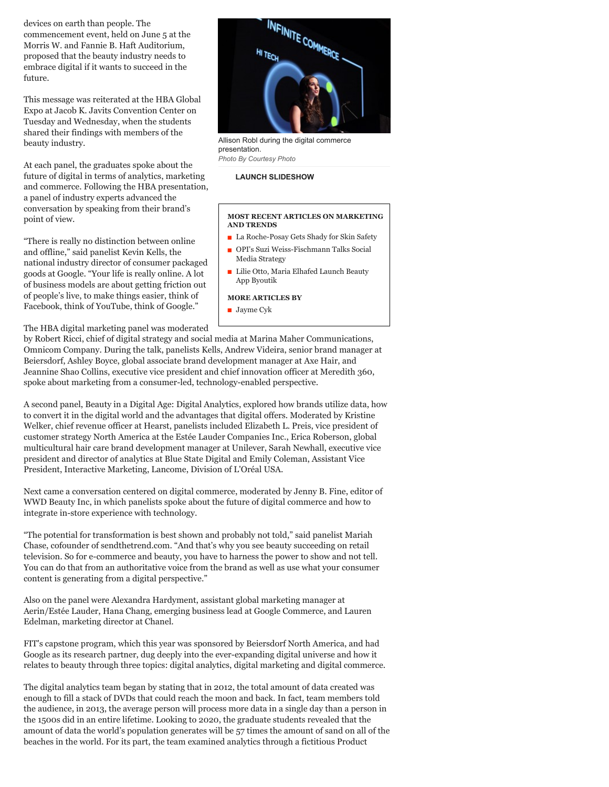devices on earth than people. The commencement event, held on June 5 at the Morris W. and Fannie B. Haft Auditorium, proposed that the beauty industry needs to embrace digital if it wants to succeed in the future.

This message was reiterated at the HBA Global Expo at Jacob K. Javits Convention Center on Tuesday and Wednesday, when the students shared their findings with members of the beauty industry.

At each panel, the graduates spoke about the future of digital in terms of analytics, marketing and commerce. Following the HBA presentation, a panel of industry experts advanced the conversation by speaking from their brand's point of view.

"There is really no distinction between online and offline," said panelist Kevin Kells, the national industry director of consumer packaged goods at Google. "Your life is really online. A lot of business models are about getting friction out of people's live, to make things easier, think of Facebook, think of YouTube, think of Google."

The HBA digital marketing panel was moderated



Allison Robl during the digital commerce presentation. *Photo By Courtesy Photo*

## **[LAUNCH SLIDESHOW](http://www.wwd.com/beauty-industry-news/marketing-trends/fit-capstone-students-explore-digitals-impact-on-beauty-7005444/slideshow)**

## **MOST RECENT ARTICLES ON MARKETING AND TRENDS**

- [La Roche-Posay Gets Shady for Skin Safety](http://www.wwd.com/beauty-industry-news/marketing-trends/la-roche-posay-gets-shady-for-skin-safety-7006111?module=more_on)
- [OPI's Suzi Weiss-Fischmann Talks Social](http://www.wwd.com/beauty-industry-news/marketing-trends/opis-suzi-weiss-fischmann-talks-social-media-7000528?module=more_on) Media Strategy
- $\blacksquare$  [Lilie Otto, Maria Elhafed Launch Beauty](http://www.wwd.com/beauty-industry-news/marketing-trends/lilie-otto-maria-elhafed-launch-beauty-app-byoutik-6967908?module=more_on) App Byoutik

## **MORE ARTICLES BY**

■ [Jayme Cyk](http://www.wwd.com/wwd-masthead/jayme-cyk-6023520?module=more_by)

by Robert Ricci, chief of digital strategy and social media at Marina Maher Communications, Omnicom Company. During the talk, panelists Kells, Andrew Videira, senior brand manager at Beiersdorf, Ashley Boyce, global associate brand development manager at Axe Hair, and Jeannine Shao Collins, executive vice president and chief innovation officer at Meredith 360, spoke about marketing from a consumer-led, technology-enabled perspective.

A second panel, Beauty in a Digital Age: Digital Analytics, explored how brands utilize data, how to convert it in the digital world and the advantages that digital offers. Moderated by Kristine Welker, chief revenue officer at Hearst, panelists included Elizabeth L. Preis, vice president of customer strategy North America at the Estée Lauder Companies Inc., Erica Roberson, global multicultural hair care brand development manager at Unilever, Sarah Newhall, executive vice president and director of analytics at Blue State Digital and Emily Coleman, Assistant Vice President, Interactive Marketing, Lancome, Division of L'Oréal USA.

Next came a conversation centered on digital commerce, moderated by Jenny B. Fine, editor of WWD Beauty Inc, in which panelists spoke about the future of digital commerce and how to integrate in-store experience with technology.

"The potential for transformation is best shown and probably not told," said panelist Mariah Chase, cofounder of sendthetrend.com. "And that's why you see beauty succeeding on retail television. So for e-commerce and beauty, you have to harness the power to show and not tell. You can do that from an authoritative voice from the brand as well as use what your consumer content is generating from a digital perspective."

Also on the panel were Alexandra Hardyment, assistant global marketing manager at Aerin/Estée Lauder, Hana Chang, emerging business lead at Google Commerce, and Lauren Edelman, marketing director at Chanel.

FIT's capstone program, which this year was sponsored by Beiersdorf North America, and had Google as its research partner, dug deeply into the ever-expanding digital universe and how it relates to beauty through three topics: digital analytics, digital marketing and digital commerce.

The digital analytics team began by stating that in 2012, the total amount of data created was enough to fill a stack of DVDs that could reach the moon and back. In fact, team members told the audience, in 2013, the average person will process more data in a single day than a person in the 1500s did in an entire lifetime. Looking to 2020, the graduate students revealed that the amount of data the world's population generates will be 57 times the amount of sand on all of the beaches in the world. For its part, the team examined analytics through a fictitious Product